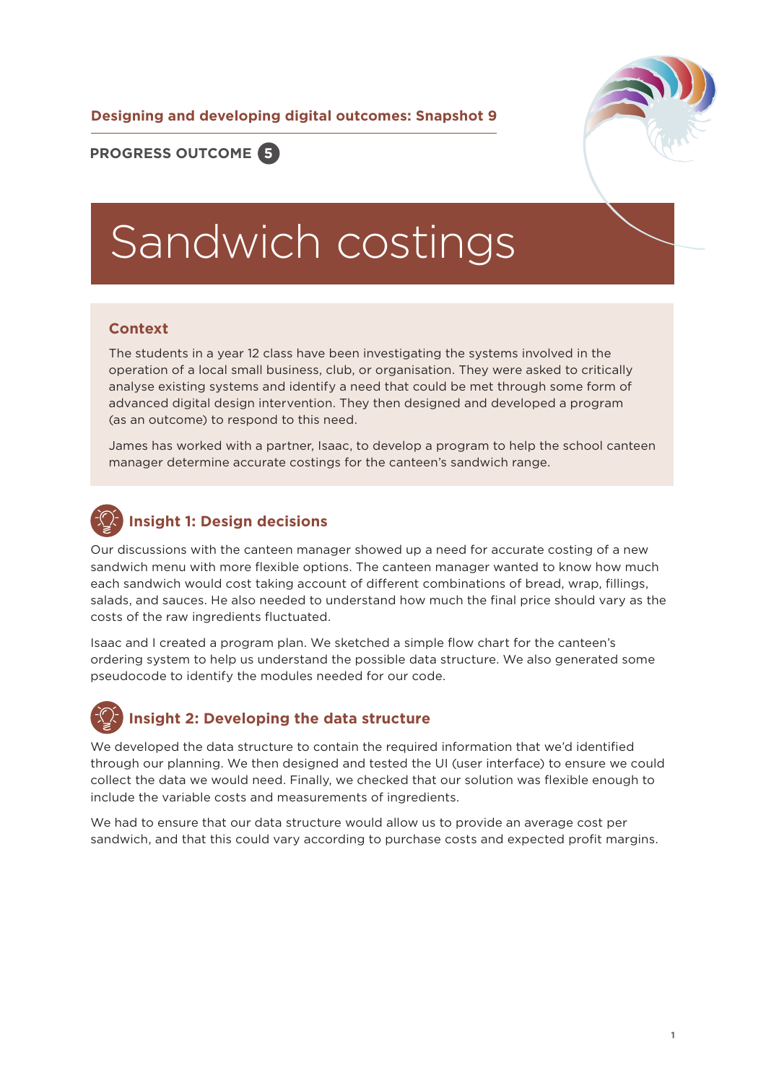**Designing and developing digital outcomes: Snapshot 9**



### **PROGRESS OUTCOME 5**

# Sandwich costings

### **Context**

The students in a year 12 class have been investigating the systems involved in the operation of a local small business, club, or organisation. They were asked to critically analyse existing systems and identify a need that could be met through some form of advanced digital design intervention. They then designed and developed a program (as an outcome) to respond to this need.

James has worked with a partner, Isaac, to develop a program to help the school canteen manager determine accurate costings for the canteen's sandwich range.

### **Insight 1: Design decisions**

Our discussions with the canteen manager showed up a need for accurate costing of a new sandwich menu with more flexible options. The canteen manager wanted to know how much each sandwich would cost taking account of different combinations of bread, wrap, fillings, salads, and sauces. He also needed to understand how much the final price should vary as the costs of the raw ingredients fluctuated.

Isaac and I created a program plan. We sketched a simple flow chart for the canteen's ordering system to help us understand the possible data structure. We also generated some pseudocode to identify the modules needed for our code.

### **Insight 2: Developing the data structure**

We developed the data structure to contain the required information that we'd identified through our planning. We then designed and tested the UI (user interface) to ensure we could collect the data we would need. Finally, we checked that our solution was flexible enough to include the variable costs and measurements of ingredients.

We had to ensure that our data structure would allow us to provide an average cost per sandwich, and that this could vary according to purchase costs and expected profit margins.